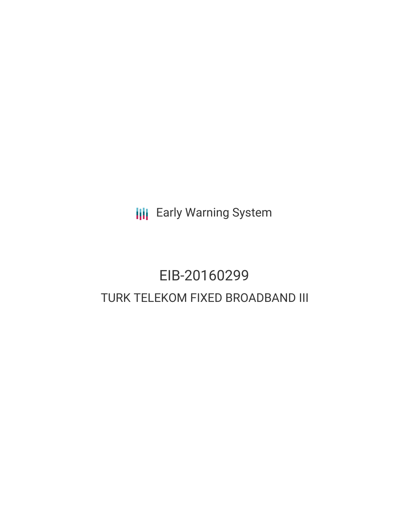**III** Early Warning System

# EIB-20160299 TURK TELEKOM FIXED BROADBAND III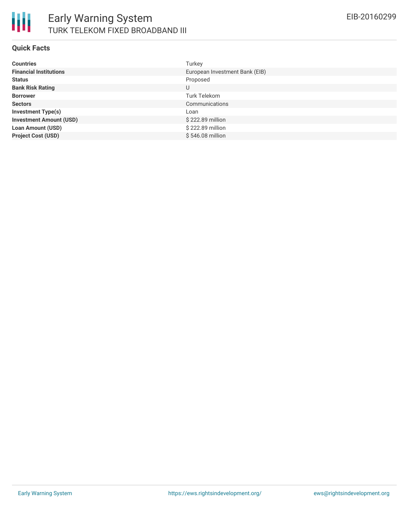

#### **Quick Facts**

| <b>Countries</b>               | Turkey                         |
|--------------------------------|--------------------------------|
| <b>Financial Institutions</b>  | European Investment Bank (EIB) |
| <b>Status</b>                  | Proposed                       |
| <b>Bank Risk Rating</b>        | U                              |
| <b>Borrower</b>                | Turk Telekom                   |
| <b>Sectors</b>                 | Communications                 |
| <b>Investment Type(s)</b>      | Loan                           |
| <b>Investment Amount (USD)</b> | \$222.89 million               |
| <b>Loan Amount (USD)</b>       | \$222.89 million               |
| <b>Project Cost (USD)</b>      | \$546.08 million               |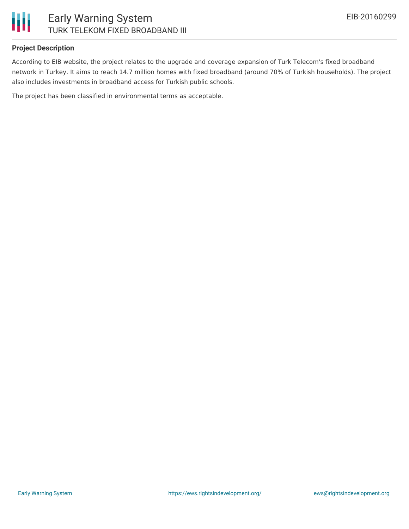

## **Project Description**

According to EIB website, the project relates to the upgrade and coverage expansion of Turk Telecom's fixed broadband network in Turkey. It aims to reach 14.7 million homes with fixed broadband (around 70% of Turkish households). The project also includes investments in broadband access for Turkish public schools.

The project has been classified in environmental terms as acceptable.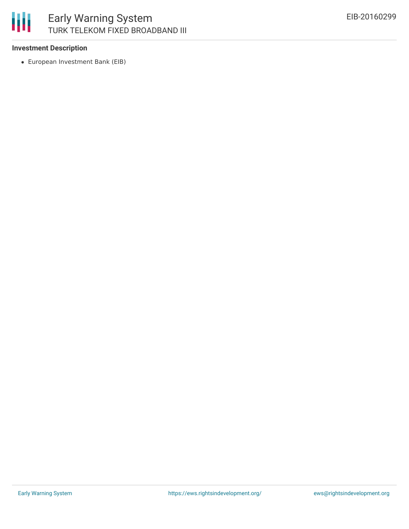

# **Investment Description**

European Investment Bank (EIB)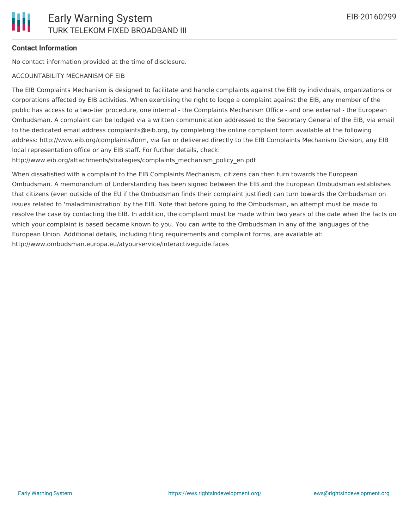

# **Contact Information**

No contact information provided at the time of disclosure.

#### ACCOUNTABILITY MECHANISM OF EIB

The EIB Complaints Mechanism is designed to facilitate and handle complaints against the EIB by individuals, organizations or corporations affected by EIB activities. When exercising the right to lodge a complaint against the EIB, any member of the public has access to a two-tier procedure, one internal - the Complaints Mechanism Office - and one external - the European Ombudsman. A complaint can be lodged via a written communication addressed to the Secretary General of the EIB, via email to the dedicated email address complaints@eib.org, by completing the online complaint form available at the following address: http://www.eib.org/complaints/form, via fax or delivered directly to the EIB Complaints Mechanism Division, any EIB local representation office or any EIB staff. For further details, check:

http://www.eib.org/attachments/strategies/complaints\_mechanism\_policy\_en.pdf

When dissatisfied with a complaint to the EIB Complaints Mechanism, citizens can then turn towards the European Ombudsman. A memorandum of Understanding has been signed between the EIB and the European Ombudsman establishes that citizens (even outside of the EU if the Ombudsman finds their complaint justified) can turn towards the Ombudsman on issues related to 'maladministration' by the EIB. Note that before going to the Ombudsman, an attempt must be made to resolve the case by contacting the EIB. In addition, the complaint must be made within two years of the date when the facts on which your complaint is based became known to you. You can write to the Ombudsman in any of the languages of the European Union. Additional details, including filing requirements and complaint forms, are available at: http://www.ombudsman.europa.eu/atyourservice/interactiveguide.faces